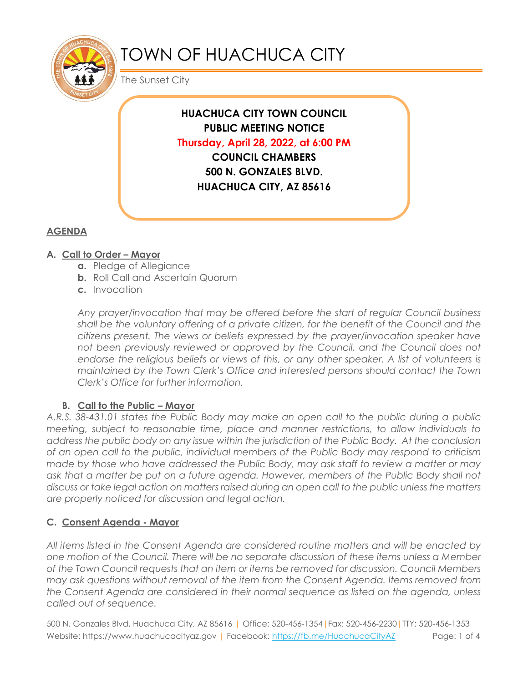

# TOWN OF HUACHUCA CITY

The Sunset City

**HUACHUCA CITY TOWN COUNCIL PUBLIC MEETING NOTICE Thursday, April 28, 2022, at 6:00 PM COUNCIL CHAMBERS 500 N. GONZALES BLVD. HUACHUCA CITY, AZ 85616**

## **AGENDA**

### **A. Call to Order – Mayor**

- **a.** Pledge of Allegiance
- **b.** Roll Call and Ascertain Quorum
- **c.** Invocation

*Any prayer/invocation that may be offered before the start of regular Council business shall be the voluntary offering of a private citizen, for the benefit of the Council and the citizens present. The views or beliefs expressed by the prayer/invocation speaker have not been previously reviewed or approved by the Council, and the Council does not*  endorse the religious beliefs or views of this, or any other speaker. A list of volunteers is *maintained by the Town Clerk's Office and interested persons should contact the Town Clerk's Office for further information.*

#### **B.** Call to the Public – Mayor

*A.R.S. 38-431.01 states the Public Body may make an open call to the public during a public meeting, subject to reasonable time, place and manner restrictions, to allow individuals to address the public body on any issue within the jurisdiction of the Public Body. At the conclusion of an open call to the public, individual members of the Public Body may respond to criticism made by those who have addressed the Public Body, may ask staff to review a matter or may*  ask that a matter be put on a future agenda. However, members of the Public Body shall not *discuss or take legal action on matters raised during an open call to the public unless the matters are properly noticed for discussion and legal action.*

#### **C. Consent Agenda - Mayor**

*All items listed in the Consent Agenda are considered routine matters and will be enacted by one motion of the Council. There will be no separate discussion of these items unless a Member of the Town Council requests that an item or items be removed for discussion. Council Members may ask questions without removal of the item from the Consent Agenda. Items removed from the Consent Agenda are considered in their normal sequence as listed on the agenda, unless called out of sequence.*

500 N. Gonzales Blvd, Huachuca City, AZ 85616 | Office: 520-456-1354|Fax: 520-456-2230|TTY: 520-456-1353 Website: https://www.huachucacityaz.gov | Facebook:<https://fb.me/HuachucaCityAZ> Page: 1 of 4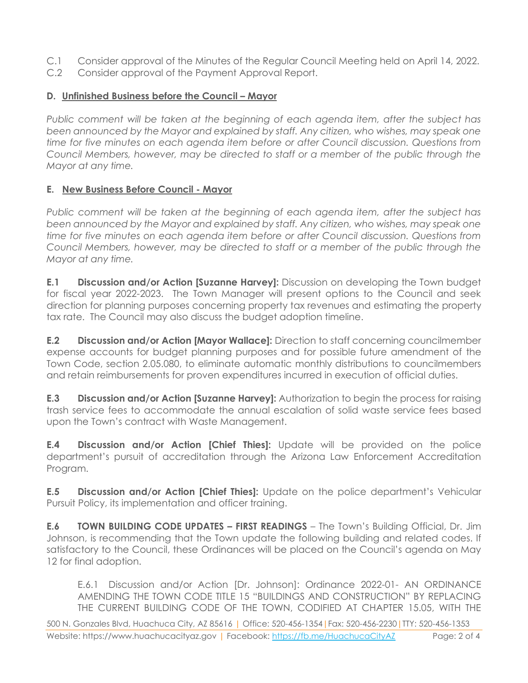- C.1 Consider approval of the Minutes of the Regular Council Meeting held on April 14, 2022.
- C.2 Consider approval of the Payment Approval Report.

#### **D. Unfinished Business before the Council – Mayor**

*Public comment will be taken at the beginning of each agenda item, after the subject has been announced by the Mayor and explained by staff. Any citizen, who wishes, may speak one time for five minutes on each agenda item before or after Council discussion. Questions from Council Members, however, may be directed to staff or a member of the public through the Mayor at any time.*

### **E. New Business Before Council - Mayor**

*Public comment will be taken at the beginning of each agenda item, after the subject has been announced by the Mayor and explained by staff. Any citizen, who wishes, may speak one time for five minutes on each agenda item before or after Council discussion. Questions from Council Members, however, may be directed to staff or a member of the public through the Mayor at any time.* 

**E.1 Discussion and/or Action [Suzanne Harvey]:** Discussion on developing the Town budget for fiscal year 2022-2023. The Town Manager will present options to the Council and seek direction for planning purposes concerning property tax revenues and estimating the property tax rate. The Council may also discuss the budget adoption timeline.

**E.2 Discussion and/or Action [Mayor Wallace]:** Direction to staff concerning councilmember expense accounts for budget planning purposes and for possible future amendment of the Town Code, section 2.05.080, to eliminate automatic monthly distributions to councilmembers and retain reimbursements for proven expenditures incurred in execution of official duties.

**E.3 Discussion and/or Action [Suzanne Harvey]:** Authorization to begin the process for raising trash service fees to accommodate the annual escalation of solid waste service fees based upon the Town's contract with Waste Management.

**E.4 Discussion and/or Action [Chief Thies]:** Update will be provided on the police department's pursuit of accreditation through the Arizona Law Enforcement Accreditation Program.

**E.5 Discussion and/or Action [Chief Thies]:** Update on the police department's Vehicular Pursuit Policy, its implementation and officer training.

**E.6 TOWN BUILDING CODE UPDATES – FIRST READINGS** – The Town's Building Official, Dr. Jim Johnson, is recommending that the Town update the following building and related codes. If satisfactory to the Council, these Ordinances will be placed on the Council's agenda on May 12 for final adoption.

E.6.1 Discussion and/or Action [Dr. Johnson]: Ordinance 2022-01- AN ORDINANCE AMENDING THE TOWN CODE TITLE 15 "BUILDINGS AND CONSTRUCTION" BY REPLACING THE CURRENT BUILDING CODE OF THE TOWN, CODIFIED AT CHAPTER 15.05, WITH THE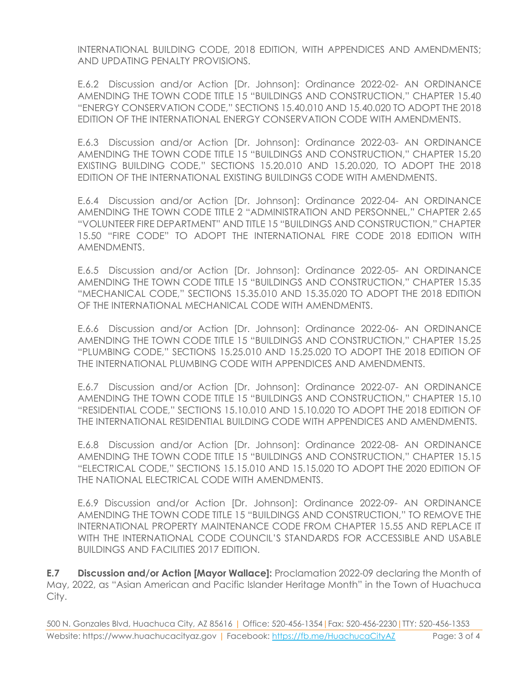INTERNATIONAL BUILDING CODE, 2018 EDITION, WITH APPENDICES AND AMENDMENTS; AND UPDATING PENALTY PROVISIONS.

E.6.2 Discussion and/or Action [Dr. Johnson]: Ordinance 2022-02- AN ORDINANCE AMENDING THE TOWN CODE TITLE 15 "BUILDINGS AND CONSTRUCTION," CHAPTER 15.40 "ENERGY CONSERVATION CODE," SECTIONS 15.40.010 AND 15.40.020 TO ADOPT THE 2018 EDITION OF THE INTERNATIONAL ENERGY CONSERVATION CODE WITH AMENDMENTS.

E.6.3 Discussion and/or Action [Dr. Johnson]: Ordinance 2022-03- AN ORDINANCE AMENDING THE TOWN CODE TITLE 15 "BUILDINGS AND CONSTRUCTION," CHAPTER 15.20 EXISTING BUILDING CODE," SECTIONS 15.20.010 AND 15.20.020, TO ADOPT THE 2018 EDITION OF THE INTERNATIONAL EXISTING BUILDINGS CODE WITH AMENDMENTS.

E.6.4 Discussion and/or Action [Dr. Johnson]: Ordinance 2022-04- AN ORDINANCE AMENDING THE TOWN CODE TITLE 2 "ADMINISTRATION AND PERSONNEL," CHAPTER 2.65 "VOLUNTEER FIRE DEPARTMENT" AND TITLE 15 "BUILDINGS AND CONSTRUCTION," CHAPTER 15.50 "FIRE CODE" TO ADOPT THE INTERNATIONAL FIRE CODE 2018 EDITION WITH AMENDMENTS.

E.6.5 Discussion and/or Action [Dr. Johnson]: Ordinance 2022-05- AN ORDINANCE AMENDING THE TOWN CODE TITLE 15 "BUILDINGS AND CONSTRUCTION," CHAPTER 15.35 "MECHANICAL CODE," SECTIONS 15.35.010 AND 15.35.020 TO ADOPT THE 2018 EDITION OF THE INTERNATIONAL MECHANICAL CODE WITH AMENDMENTS.

E.6.6 Discussion and/or Action [Dr. Johnson]: Ordinance 2022-06- AN ORDINANCE AMENDING THE TOWN CODE TITLE 15 "BUILDINGS AND CONSTRUCTION," CHAPTER 15.25 "PLUMBING CODE," SECTIONS 15.25.010 AND 15.25.020 TO ADOPT THE 2018 EDITION OF THE INTERNATIONAL PLUMBING CODE WITH APPENDICES AND AMENDMENTS.

E.6.7 Discussion and/or Action [Dr. Johnson]: Ordinance 2022-07- AN ORDINANCE AMENDING THE TOWN CODE TITLE 15 "BUILDINGS AND CONSTRUCTION," CHAPTER 15.10 "RESIDENTIAL CODE," SECTIONS 15.10.010 AND 15.10.020 TO ADOPT THE 2018 EDITION OF THE INTERNATIONAL RESIDENTIAL BUILDING CODE WITH APPENDICES AND AMENDMENTS.

E.6.8 Discussion and/or Action [Dr. Johnson]: Ordinance 2022-08- AN ORDINANCE AMENDING THE TOWN CODE TITLE 15 "BUILDINGS AND CONSTRUCTION," CHAPTER 15.15 "ELECTRICAL CODE," SECTIONS 15.15.010 AND 15.15.020 TO ADOPT THE 2020 EDITION OF THE NATIONAL ELECTRICAL CODE WITH AMENDMENTS.

E.6.9 Discussion and/or Action [Dr. Johnson]: Ordinance 2022-09- AN ORDINANCE AMENDING THE TOWN CODE TITLE 15 "BUILDINGS AND CONSTRUCTION," TO REMOVE THE INTERNATIONAL PROPERTY MAINTENANCE CODE FROM CHAPTER 15.55 AND REPLACE IT WITH THE INTERNATIONAL CODE COUNCIL'S STANDARDS FOR ACCESSIBLE AND USABLE BUILDINGS AND FACILITIES 2017 EDITION.

**E.7 Discussion and/or Action [Mayor Wallace]:** Proclamation 2022-09 declaring the Month of May, 2022, as "Asian American and Pacific Islander Heritage Month" in the Town of Huachuca City.

500 N. Gonzales Blvd, Huachuca City, AZ 85616 | Office: 520-456-1354|Fax: 520-456-2230|TTY: 520-456-1353 Website: https://www.huachucacityaz.gov | Facebook:<https://fb.me/HuachucaCityAZ> Page: 3 of 4